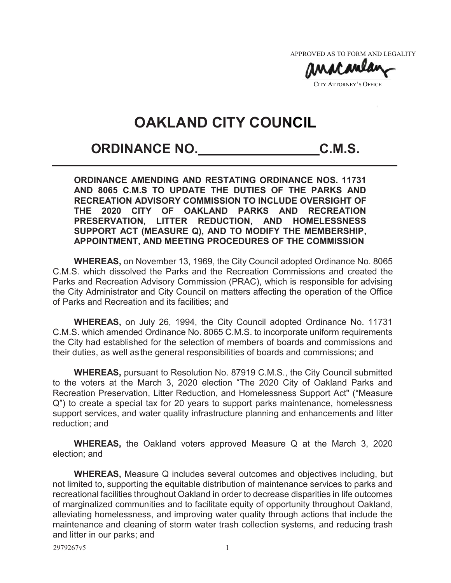APPROVED AS TO FORM AND LEGALITY APPROVED AS TO FORM AND LEGA

 $\mathbf{v}$ **CITY ATTORNEY'S OFFICE**  $\mathbf{v}$ 

# **OAKLAND CITY COUNCIL**

## **ORDINANCE NO. C.M.S.**

**ORDINANCE AMENDING AND RESTATING ORDINANCE NOS. 11731 AND 8065 C.M.S TO UPDATE THE DUTIES OF THE PARKS AND RECREATION ADVISORY COMMISSION TO INCLUDE OVERSIGHT OF THE 2020 CITY OF OAKLAND PARKS AND RECREATION PRESERVATION, LITTER REDUCTION, AND HOMELESSNESS SUPPORT ACT (MEASURE Q), AND TO MODIFY THE MEMBERSHIP, APPOINTMENT, AND MEETING PROCEDURES OF THE COMMISSION** 

**WHEREAS,** on November 13, 1969, the City Council adopted Ordinance No. 8065 C.M.S. which dissolved the Parks and the Recreation Commissions and created the Parks and Recreation Advisory Commission (PRAC), which is responsible for advising the City Administrator and City Council on matters affecting the operation of the Office of Parks and Recreation and its facilities; and

**WHEREAS,** on July 26, 1994, the City Council adopted Ordinance No. 11731 C.M.S. which amended Ordinance No. 8065 C.M.S. to incorporate uniform requirements the City had established for the selection of members of boards and commissions and their duties, as well as the general responsibilities of boards and commissions; and

**WHEREAS,** pursuant to Resolution No. 87919 C.M.S., the City Council submitted to the voters at the March 3, 2020 election "The 2020 City of Oakland Parks and Recreation Preservation, Litter Reduction, and Homelessness Support Act" ("Measure Q") to create a special tax for 20 years to support parks maintenance, homelessness support services, and water quality infrastructure planning and enhancements and litter reduction; and

**WHEREAS,** the Oakland voters approved Measure Q at the March 3, 2020 election; and

**WHEREAS,** Measure Q includes several outcomes and objectives including, but not limited to, supporting the equitable distribution of maintenance services to parks and recreational facilities throughout Oakland in order to decrease disparities in life outcomes of marginalized communities and to facilitate equity of opportunity throughout Oakland, alleviating homelessness, and improving water quality through actions that include the maintenance and cleaning of storm water trash collection systems, and reducing trash and litter in our parks; and

2979267v5 1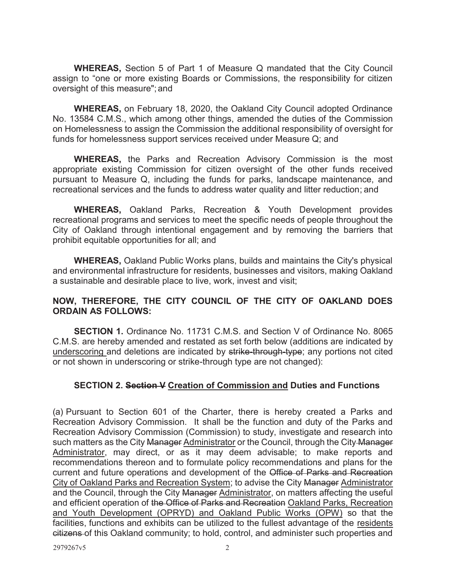**WHEREAS,** Section 5 of Part 1 of Measure Q mandated that the City Council assign to "one or more existing Boards or Commissions, the responsibility for citizen oversight of this measure"; and

**WHEREAS,** on February 18, 2020, the Oakland City Council adopted Ordinance No. 13584 C.M.S., which among other things, amended the duties of the Commission on Homelessness to assign the Commission the additional responsibility of oversight for funds for homelessness support services received under Measure Q; and

**WHEREAS,** the Parks and Recreation Advisory Commission is the most appropriate existing Commission for citizen oversight of the other funds received pursuant to Measure Q, including the funds for parks, landscape maintenance, and recreational services and the funds to address water quality and litter reduction; and

**WHEREAS,** Oakland Parks, Recreation & Youth Development provides recreational programs and services to meet the specific needs of people throughout the City of Oakland through intentional engagement and by removing the barriers that prohibit equitable opportunities for all; and

**WHEREAS,** Oakland Public Works plans, builds and maintains the City's physical and environmental infrastructure for residents, businesses and visitors, making Oakland a sustainable and desirable place to live, work, invest and visit;

#### **NOW, THEREFORE, THE CITY COUNCIL OF THE CITY OF OAKLAND DOES ORDAIN AS FOLLOWS:**

**SECTION 1.** Ordinance No. 11731 C.M.S. and Section V of Ordinance No. 8065 C.M.S. are hereby amended and restated as set forth below (additions are indicated by underscoring and deletions are indicated by strike-through-type; any portions not cited or not shown in underscoring or strike-through type are not changed):

#### **SECTION 2. Section V Creation of Commission and Duties and Functions**

(a) Pursuant to Section 601 of the Charter, there is hereby created a Parks and Recreation Advisory Commission. It shall be the function and duty of the Parks and Recreation Advisory Commission (Commission) to study, investigate and research into such matters as the City Manager Administrator or the Council, through the City-Manager Administrator, may direct, or as it may deem advisable; to make reports and recommendations thereon and to formulate policy recommendations and plans for the current and future operations and development of the Office of Parks and Recreation City of Oakland Parks and Recreation System; to advise the City Manager Administrator and the Council, through the City Manager Administrator, on matters affecting the useful and efficient operation of the Office of Parks and Recreation Oakland Parks, Recreation and Youth Development (OPRYD) and Oakland Public Works (OPW) so that the facilities, functions and exhibits can be utilized to the fullest advantage of the residents citizens of this Oakland community; to hold, control, and administer such properties and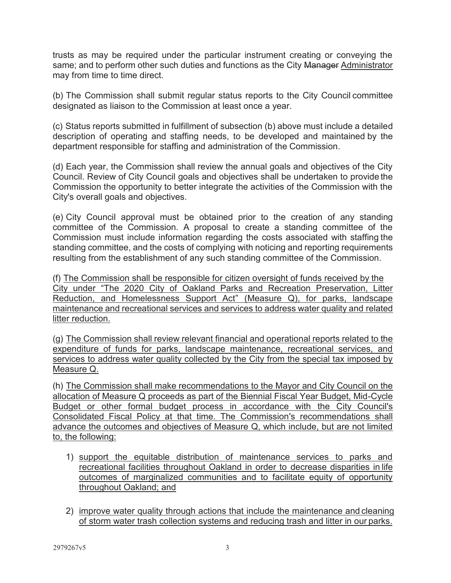trusts as may be required under the particular instrument creating or conveying the same; and to perform other such duties and functions as the City Manager Administrator may from time to time direct.

(b) The Commission shall submit regular status reports to the City Council committee designated as liaison to the Commission at least once a year.

(c) Status reports submitted in fulfillment of subsection (b) above must include a detailed description of operating and staffing needs, to be developed and maintained by the department responsible for staffing and administration of the Commission.

(d) Each year, the Commission shall review the annual goals and objectives of the City Council. Review of City Council goals and objectives shall be undertaken to provide the Commission the opportunity to better integrate the activities of the Commission with the City's overall goals and objectives.

(e) City Council approval must be obtained prior to the creation of any standing committee of the Commission. A proposal to create a standing committee of the Commission must include information regarding the costs associated with staffing the standing committee, and the costs of complying with noticing and reporting requirements resulting from the establishment of any such standing committee of the Commission.

(f) The Commission shall be responsible for citizen oversight of funds received by the City under "The 2020 City of Oakland Parks and Recreation Preservation, Litter Reduction, and Homelessness Support Act" (Measure Q), for parks, landscape maintenance and recreational services and services to address water quality and related litter reduction.

(g) The Commission shall review relevant financial and operational reports related to the expenditure of funds for parks, landscape maintenance, recreational services, and services to address water quality collected by the City from the special tax imposed by Measure Q.

(h) The Commission shall make recommendations to the Mayor and City Council on the allocation of Measure Q proceeds as part of the Biennial Fiscal Year Budget, Mid-Cycle Budget or other formal budget process in accordance with the City Council's Consolidated Fiscal Policy at that time. The Commission's recommendations shall advance the outcomes and objectives of Measure Q, which include, but are not limited to, the following:

- 1) support the equitable distribution of maintenance services to parks and recreational facilities throughout Oakland in order to decrease disparities in life outcomes of marginalized communities and to facilitate equity of opportunity throughout Oakland; and
- 2) improve water quality through actions that include the maintenance and cleaning of storm water trash collection systems and reducing trash and litter in our parks.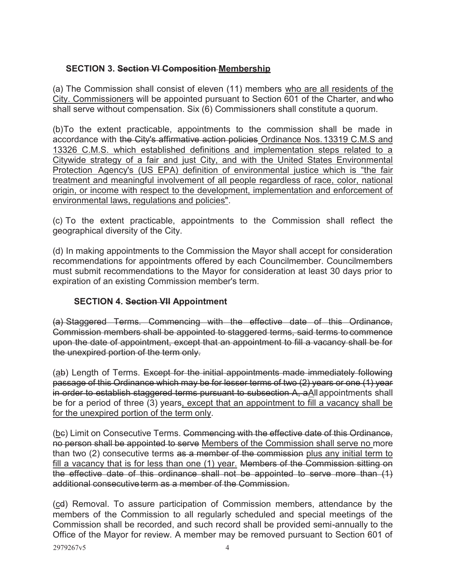### **SECTION 3. Section VI Composition Membership**

(a) The Commission shall consist of eleven (11) members who are all residents of the City. Commissioners will be appointed pursuant to Section 601 of the Charter, and who shall serve without compensation. Six (6) Commissioners shall constitute a quorum.

(b) To the extent practicable, appointments to the commission shall be made in accordance with the City's affirmative action policies Ordinance Nos. 13319 C.M.S and 13326 C.M.S. which established definitions and implementation steps related to a Citywide strategy of a fair and just City, and with the United States Environmental Protection Agency's (US EPA) definition of environmental justice which is "the fair treatment and meaningful involvement of all people regardless of race, color, national origin, or income with respect to the development, implementation and enforcement of environmental laws, regulations and policies".

(c) To the extent practicable, appointments to the Commission shall reflect the geographical diversity of the City.

(d) In making appointments to the Commission the Mayor shall accept for consideration recommendations for appointments offered by each Councilmember. Councilmembers must submit recommendations to the Mayor for consideration at least 30 days prior to expiration of an existing Commission member's term.

#### **SECTION 4. Section VII Appointment**

(a) Staggered Terms. Commencing with the effective date of this Ordinance, Commission members shall be appointed to staggered terms, said terms to commence upon the date of appointment, except that an appointment to fill a vacancy shall be for the unexpired portion of the term only.

(ab) Length of Terms. Except for the initial appointments made immediately following passage of this Ordinance which may be for lesser terms of two (2) years or one (1) year in order to establish staggered terms pursuant to subsection A, a All appointments shall be for a period of three (3) years, except that an appointment to fill a vacancy shall be for the unexpired portion of the term only.

(be) Limit on Consecutive Terms. Commencing with the effective date of this Ordinance, no person shall be appointed to serve Members of the Commission shall serve no more than two (2) consecutive terms as a member of the commission plus any initial term to fill a vacancy that is for less than one (1) year. Members of the Commission sitting on the effective date of this ordinance shall not be appointed to serve more than (1) additional consecutive term as a member of the Commission.

(cd) Removal. To assure participation of Commission members, attendance by the members of the Commission to all regularly scheduled and special meetings of the Commission shall be recorded, and such record shall be provided semi-annually to the Office of the Mayor for review. A member may be removed pursuant to Section 601 of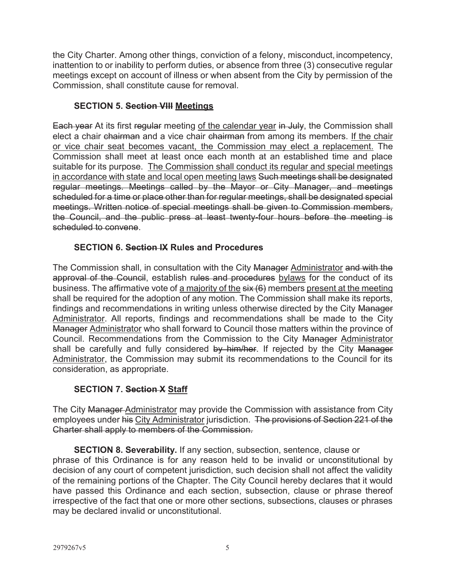the City Charter. Among other things, conviction of a felony, misconduct, incompetency, inattention to or inability to perform duties, or absence from three (3) consecutive regular meetings except on account of illness or when absent from the City by permission of the Commission, shall constitute cause for removal.

#### **SECTION 5. Section VIII Meetings**

Each year At its first regular meeting of the calendar year in July, the Commission shall elect a chair chairman and a vice chair chairman from among its members. If the chair or vice chair seat becomes vacant, the Commission may elect a replacement. The Commission shall meet at least once each month at an established time and place suitable for its purpose. The Commission shall conduct its regular and special meetings in accordance with state and local open meeting laws Such meetings shall be designated regular meetings. Meetings called by the Mayor or City Manager, and meetings scheduled for a time or place other than for regular meetings, shall be designated special meetings. Written notice of special meetings shall be given to Commission members, the Council, and the public press at least twenty-four hours before the meeting is scheduled to convene.

#### **SECTION 6. Section IX Rules and Procedures**

The Commission shall, in consultation with the City Manager Administrator and with the approval of the Council, establish rules and procedures bylaws for the conduct of its business. The affirmative vote of a majority of the  $s$ ix  $(6)$  members present at the meeting shall be required for the adoption of any motion. The Commission shall make its reports, findings and recommendations in writing unless otherwise directed by the City Manager Administrator. All reports, findings and recommendations shall be made to the City Manager Administrator who shall forward to Council those matters within the province of Council. Recommendations from the Commission to the City Manager Administrator shall be carefully and fully considered by him/her. If rejected by the City Manager Administrator, the Commission may submit its recommendations to the Council for its consideration, as appropriate.

#### **SECTION 7. Section X Staff**

The City Manager-Administrator may provide the Commission with assistance from City employees under his City Administrator jurisdiction. The provisions of Section 221 of the Charter shall apply to members of the Commission.

**SECTION 8. Severability.** If any section, subsection, sentence, clause or phrase of this Ordinance is for any reason held to be invalid or unconstitutional by decision of any court of competent jurisdiction, such decision shall not affect the validity of the remaining portions of the Chapter. The City Council hereby declares that it would have passed this Ordinance and each section, subsection, clause or phrase thereof irrespective of the fact that one or more other sections, subsections, clauses or phrases may be declared invalid or unconstitutional.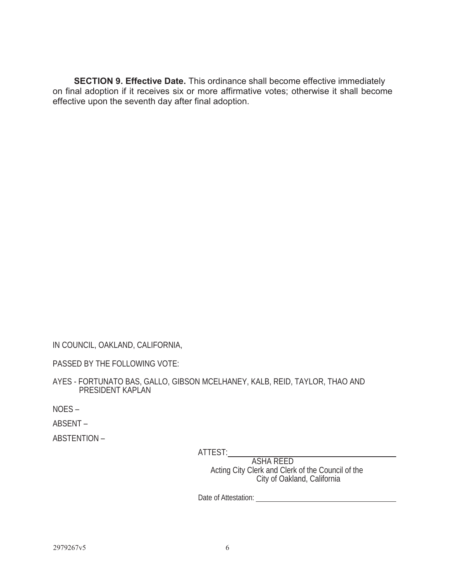**SECTION 9. Effective Date.** This ordinance shall become effective immediately on final adoption if it receives six or more affirmative votes; otherwise it shall become effective upon the seventh day after final adoption.

IN COUNCIL, OAKLAND, CALIFORNIA,

PASSED BY THE FOLLOWING VOTE:

AYES - FORTUNATO BAS, GALLO, GIBSON MCELHANEY, KALB, REID, TAYLOR, THAO AND PRESIDENT KAPLAN

NOES –

ABSENT –

ABSTENTION –

ATTEST:

ASHA REED<br>Cloth of the Cloth of the Cloth of the Cloth of the Cloth of the Cloth of the Cloth of the Cloth of the Cloth o Acting City Clerk and Clerk of the Council of the City of Oakland, California

Date of Attestation: